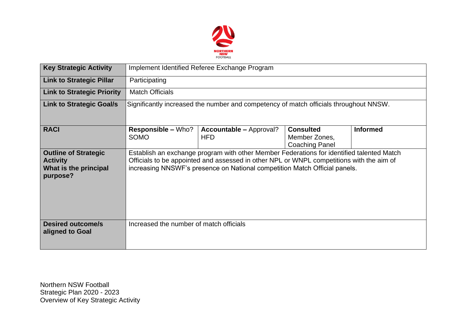

| <b>Key Strategic Activity</b>                                                       | Implement Identified Referee Exchange Program                                                                                                                                                                                                                       |                                              |                                                            |                 |  |  |  |
|-------------------------------------------------------------------------------------|---------------------------------------------------------------------------------------------------------------------------------------------------------------------------------------------------------------------------------------------------------------------|----------------------------------------------|------------------------------------------------------------|-----------------|--|--|--|
| <b>Link to Strategic Pillar</b>                                                     | Participating                                                                                                                                                                                                                                                       |                                              |                                                            |                 |  |  |  |
| <b>Link to Strategic Priority</b>                                                   | <b>Match Officials</b>                                                                                                                                                                                                                                              |                                              |                                                            |                 |  |  |  |
| <b>Link to Strategic Goal/s</b>                                                     | Significantly increased the number and competency of match officials throughout NNSW.                                                                                                                                                                               |                                              |                                                            |                 |  |  |  |
| <b>RACI</b>                                                                         | <b>Responsible – Who?</b><br><b>SOMO</b>                                                                                                                                                                                                                            | <b>Accountable – Approval?</b><br><b>HFD</b> | <b>Consulted</b><br>Member Zones,<br><b>Coaching Panel</b> | <b>Informed</b> |  |  |  |
| <b>Outline of Strategic</b><br><b>Activity</b><br>What is the principal<br>purpose? | Establish an exchange program with other Member Federations for identified talented Match<br>Officials to be appointed and assessed in other NPL or WNPL competitions with the aim of<br>increasing NNSWF's presence on National competition Match Official panels. |                                              |                                                            |                 |  |  |  |
| <b>Desired outcome/s</b><br>aligned to Goal                                         | Increased the number of match officials                                                                                                                                                                                                                             |                                              |                                                            |                 |  |  |  |

Northern NSW Football Strategic Plan 2020 - 2023 Overview of Key Strategic Activity